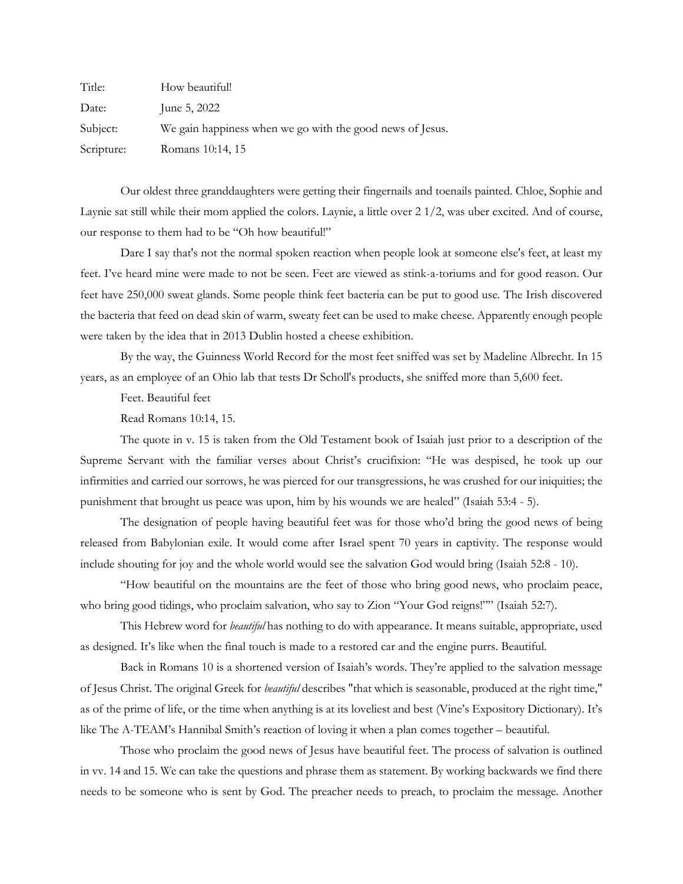| Title:     | How beautiful!                                            |
|------------|-----------------------------------------------------------|
| Date:      | June 5, $2022$                                            |
| Subject:   | We gain happiness when we go with the good news of Jesus. |
| Scripture: | Romans 10:14, 15                                          |

Our oldest three granddaughters were getting their fingernails and toenails painted. Chloe, Sophie and Laynie sat still while their mom applied the colors. Laynie, a little over 2 1/2, was uber excited. And of course, our response to them had to be "Oh how beautiful!"

Dare I say that's not the normal spoken reaction when people look at someone else's feet, at least my feet. I've heard mine were made to not be seen. Feet are viewed as stink-a-toriums and for good reason. Our feet have 250,000 sweat glands. Some people think feet bacteria can be put to good use. The Irish discovered the bacteria that feed on dead skin of warm, sweaty feet can be used to make cheese. Apparently enough people were taken by the idea that in 2013 Dublin hosted a cheese exhibition.

By the way, the Guinness World Record for the most feet sniffed was set by Madeline Albrecht. In 15 years, as an employee of an Ohio lab that tests Dr Scholl's products, she sniffed more than 5,600 feet.

Feet. Beautiful feet

Read Romans 10:14, 15.

The quote in v. 15 is taken from the Old Testament book of Isaiah just prior to a description of the Supreme Servant with the familiar verses about Christ's crucifixion: "He was despised, he took up our infirmities and carried our sorrows, he was pierced for our transgressions, he was crushed for our iniquities; the punishment that brought us peace was upon, him by his wounds we are healed" (Isaiah 53:4 - 5).

The designation of people having beautiful feet was for those who'd bring the good news of being released from Babylonian exile. It would come after Israel spent 70 years in captivity. The response would include shouting for joy and the whole world would see the salvation God would bring (Isaiah 52:8 - 10).

"How beautiful on the mountains are the feet of those who bring good news, who proclaim peace, who bring good tidings, who proclaim salvation, who say to Zion "Your God reigns!"" (Isaiah 52:7).

This Hebrew word for *beautiful* has nothing to do with appearance. It means suitable, appropriate, used as designed. It's like when the final touch is made to a restored car and the engine purrs. Beautiful.

Back in Romans 10 is a shortened version of Isaiah's words. They're applied to the salvation message of Jesus Christ. The original Greek for *beautiful* describes "that which is seasonable, produced at the right time," as of the prime of life, or the time when anything is at its loveliest and best (Vine's Expository Dictionary). It's like The A-TEAM's Hannibal Smith's reaction of loving it when a plan comes together – beautiful.

Those who proclaim the good news of Jesus have beautiful feet. The process of salvation is outlined in vv. 14 and 15. We can take the questions and phrase them as statement. By working backwards we find there needs to be someone who is sent by God. The preacher needs to preach, to proclaim the message. Another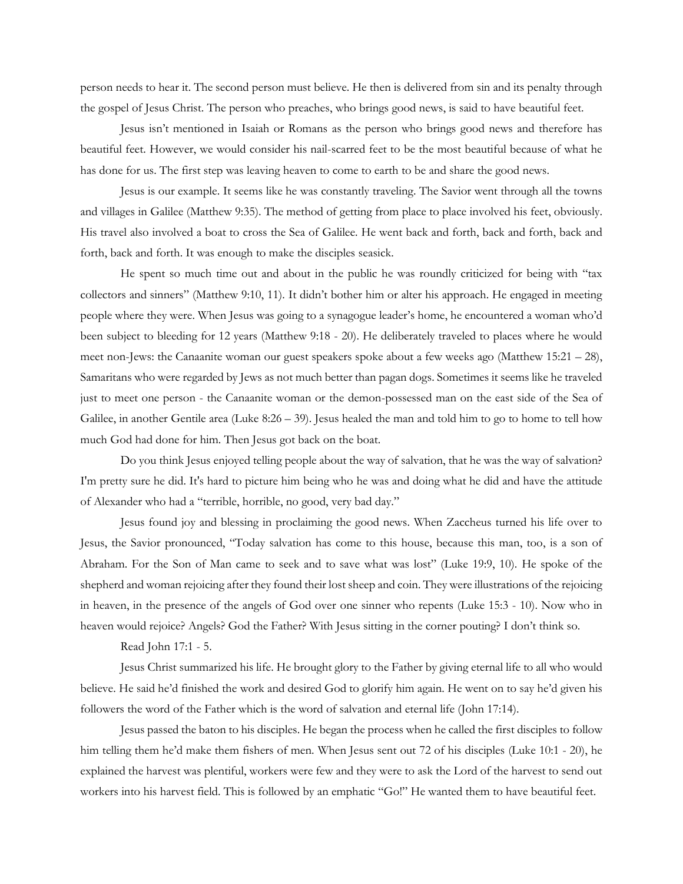person needs to hear it. The second person must believe. He then is delivered from sin and its penalty through the gospel of Jesus Christ. The person who preaches, who brings good news, is said to have beautiful feet.

Jesus isn't mentioned in Isaiah or Romans as the person who brings good news and therefore has beautiful feet. However, we would consider his nail-scarred feet to be the most beautiful because of what he has done for us. The first step was leaving heaven to come to earth to be and share the good news.

Jesus is our example. It seems like he was constantly traveling. The Savior went through all the towns and villages in Galilee (Matthew 9:35). The method of getting from place to place involved his feet, obviously. His travel also involved a boat to cross the Sea of Galilee. He went back and forth, back and forth, back and forth, back and forth. It was enough to make the disciples seasick.

He spent so much time out and about in the public he was roundly criticized for being with "tax collectors and sinners" (Matthew 9:10, 11). It didn't bother him or alter his approach. He engaged in meeting people where they were. When Jesus was going to a synagogue leader's home, he encountered a woman who'd been subject to bleeding for 12 years (Matthew 9:18 - 20). He deliberately traveled to places where he would meet non-Jews: the Canaanite woman our guest speakers spoke about a few weeks ago (Matthew 15:21 – 28), Samaritans who were regarded by Jews as not much better than pagan dogs. Sometimes it seems like he traveled just to meet one person - the Canaanite woman or the demon-possessed man on the east side of the Sea of Galilee, in another Gentile area (Luke 8:26 – 39). Jesus healed the man and told him to go to home to tell how much God had done for him. Then Jesus got back on the boat.

Do you think Jesus enjoyed telling people about the way of salvation, that he was the way of salvation? I'm pretty sure he did. It's hard to picture him being who he was and doing what he did and have the attitude of Alexander who had a "terrible, horrible, no good, very bad day."

Jesus found joy and blessing in proclaiming the good news. When Zaccheus turned his life over to Jesus, the Savior pronounced, "Today salvation has come to this house, because this man, too, is a son of Abraham. For the Son of Man came to seek and to save what was lost" (Luke 19:9, 10). He spoke of the shepherd and woman rejoicing after they found their lost sheep and coin. They were illustrations of the rejoicing in heaven, in the presence of the angels of God over one sinner who repents (Luke 15:3 - 10). Now who in heaven would rejoice? Angels? God the Father? With Jesus sitting in the corner pouting? I don't think so.

Read John 17:1 - 5.

Jesus Christ summarized his life. He brought glory to the Father by giving eternal life to all who would believe. He said he'd finished the work and desired God to glorify him again. He went on to say he'd given his followers the word of the Father which is the word of salvation and eternal life (John 17:14).

Jesus passed the baton to his disciples. He began the process when he called the first disciples to follow him telling them he'd make them fishers of men. When Jesus sent out 72 of his disciples (Luke 10:1 - 20), he explained the harvest was plentiful, workers were few and they were to ask the Lord of the harvest to send out workers into his harvest field. This is followed by an emphatic "Go!" He wanted them to have beautiful feet.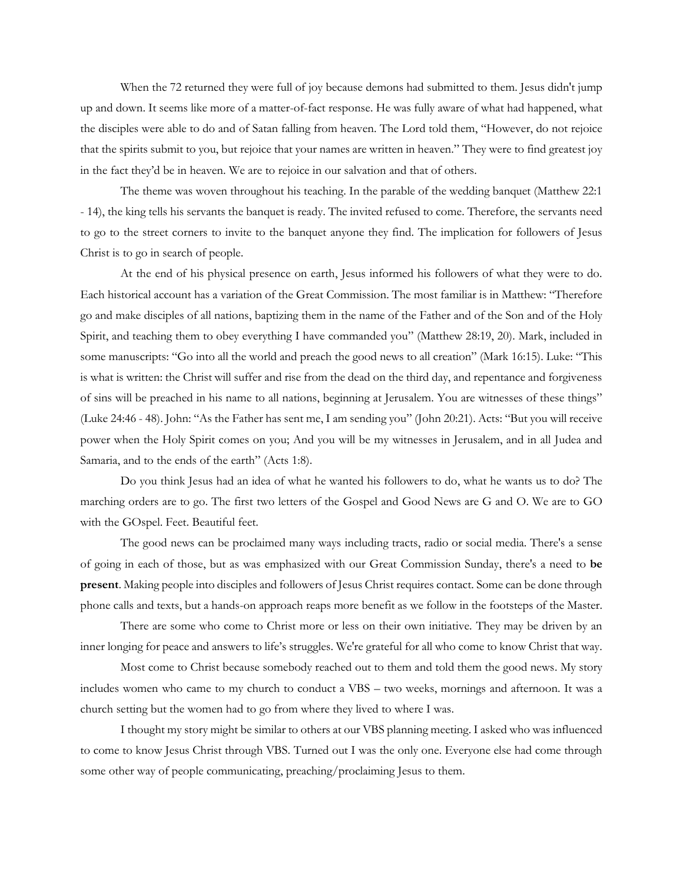When the 72 returned they were full of joy because demons had submitted to them. Jesus didn't jump up and down. It seems like more of a matter-of-fact response. He was fully aware of what had happened, what the disciples were able to do and of Satan falling from heaven. The Lord told them, "However, do not rejoice that the spirits submit to you, but rejoice that your names are written in heaven." They were to find greatest joy in the fact they'd be in heaven. We are to rejoice in our salvation and that of others.

The theme was woven throughout his teaching. In the parable of the wedding banquet (Matthew 22:1 - 14), the king tells his servants the banquet is ready. The invited refused to come. Therefore, the servants need to go to the street corners to invite to the banquet anyone they find. The implication for followers of Jesus Christ is to go in search of people.

At the end of his physical presence on earth, Jesus informed his followers of what they were to do. Each historical account has a variation of the Great Commission. The most familiar is in Matthew: "Therefore go and make disciples of all nations, baptizing them in the name of the Father and of the Son and of the Holy Spirit, and teaching them to obey everything I have commanded you" (Matthew 28:19, 20). Mark, included in some manuscripts: "Go into all the world and preach the good news to all creation" (Mark 16:15). Luke: "This is what is written: the Christ will suffer and rise from the dead on the third day, and repentance and forgiveness of sins will be preached in his name to all nations, beginning at Jerusalem. You are witnesses of these things" (Luke 24:46 - 48). John: "As the Father has sent me, I am sending you" (John 20:21). Acts: "But you will receive power when the Holy Spirit comes on you; And you will be my witnesses in Jerusalem, and in all Judea and Samaria, and to the ends of the earth" (Acts 1:8).

Do you think Jesus had an idea of what he wanted his followers to do, what he wants us to do? The marching orders are to go. The first two letters of the Gospel and Good News are G and O. We are to GO with the GOspel. Feet. Beautiful feet.

The good news can be proclaimed many ways including tracts, radio or social media. There's a sense of going in each of those, but as was emphasized with our Great Commission Sunday, there's a need to **be present**. Making people into disciples and followers of Jesus Christ requires contact. Some can be done through phone calls and texts, but a hands-on approach reaps more benefit as we follow in the footsteps of the Master.

There are some who come to Christ more or less on their own initiative. They may be driven by an inner longing for peace and answers to life's struggles. We're grateful for all who come to know Christ that way.

Most come to Christ because somebody reached out to them and told them the good news. My story includes women who came to my church to conduct a VBS – two weeks, mornings and afternoon. It was a church setting but the women had to go from where they lived to where I was.

I thought my story might be similar to others at our VBS planning meeting. I asked who was influenced to come to know Jesus Christ through VBS. Turned out I was the only one. Everyone else had come through some other way of people communicating, preaching/proclaiming Jesus to them.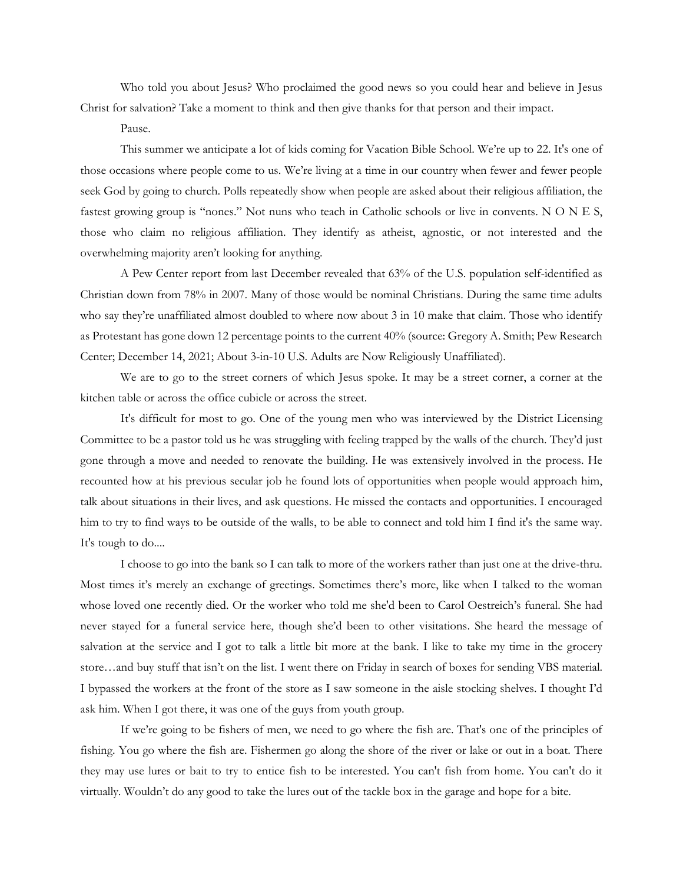Who told you about Jesus? Who proclaimed the good news so you could hear and believe in Jesus Christ for salvation? Take a moment to think and then give thanks for that person and their impact.

## Pause.

This summer we anticipate a lot of kids coming for Vacation Bible School. We're up to 22. It's one of those occasions where people come to us. We're living at a time in our country when fewer and fewer people seek God by going to church. Polls repeatedly show when people are asked about their religious affiliation, the fastest growing group is "nones." Not nuns who teach in Catholic schools or live in convents. N O N E S, those who claim no religious affiliation. They identify as atheist, agnostic, or not interested and the overwhelming majority aren't looking for anything.

A Pew Center report from last December revealed that 63% of the U.S. population self-identified as Christian down from 78% in 2007. Many of those would be nominal Christians. During the same time adults who say they're unaffiliated almost doubled to where now about 3 in 10 make that claim. Those who identify as Protestant has gone down 12 percentage points to the current 40% (source: Gregory A. Smith; Pew Research Center; December 14, 2021; About 3-in-10 U.S. Adults are Now Religiously Unaffiliated).

We are to go to the street corners of which Jesus spoke. It may be a street corner, a corner at the kitchen table or across the office cubicle or across the street.

It's difficult for most to go. One of the young men who was interviewed by the District Licensing Committee to be a pastor told us he was struggling with feeling trapped by the walls of the church. They'd just gone through a move and needed to renovate the building. He was extensively involved in the process. He recounted how at his previous secular job he found lots of opportunities when people would approach him, talk about situations in their lives, and ask questions. He missed the contacts and opportunities. I encouraged him to try to find ways to be outside of the walls, to be able to connect and told him I find it's the same way. It's tough to do....

I choose to go into the bank so I can talk to more of the workers rather than just one at the drive-thru. Most times it's merely an exchange of greetings. Sometimes there's more, like when I talked to the woman whose loved one recently died. Or the worker who told me she'd been to Carol Oestreich's funeral. She had never stayed for a funeral service here, though she'd been to other visitations. She heard the message of salvation at the service and I got to talk a little bit more at the bank. I like to take my time in the grocery store…and buy stuff that isn't on the list. I went there on Friday in search of boxes for sending VBS material. I bypassed the workers at the front of the store as I saw someone in the aisle stocking shelves. I thought I'd ask him. When I got there, it was one of the guys from youth group.

If we're going to be fishers of men, we need to go where the fish are. That's one of the principles of fishing. You go where the fish are. Fishermen go along the shore of the river or lake or out in a boat. There they may use lures or bait to try to entice fish to be interested. You can't fish from home. You can't do it virtually. Wouldn't do any good to take the lures out of the tackle box in the garage and hope for a bite.